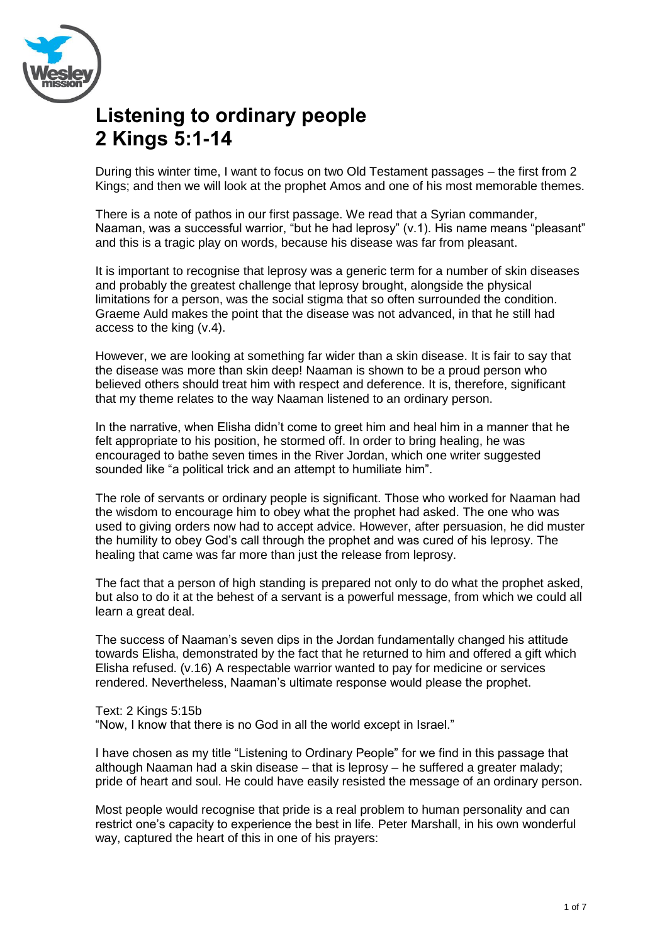

# **Listening to ordinary people 2 Kings 5:1-14**

During this winter time, I want to focus on two Old Testament passages – the first from 2 Kings; and then we will look at the prophet Amos and one of his most memorable themes.

There is a note of pathos in our first passage. We read that a Syrian commander, Naaman, was a successful warrior, "but he had leprosy" (v.1). His name means "pleasant" and this is a tragic play on words, because his disease was far from pleasant.

It is important to recognise that leprosy was a generic term for a number of skin diseases and probably the greatest challenge that leprosy brought, alongside the physical limitations for a person, was the social stigma that so often surrounded the condition. Graeme Auld makes the point that the disease was not advanced, in that he still had access to the king (v.4).

However, we are looking at something far wider than a skin disease. It is fair to say that the disease was more than skin deep! Naaman is shown to be a proud person who believed others should treat him with respect and deference. It is, therefore, significant that my theme relates to the way Naaman listened to an ordinary person.

In the narrative, when Elisha didn't come to greet him and heal him in a manner that he felt appropriate to his position, he stormed off. In order to bring healing, he was encouraged to bathe seven times in the River Jordan, which one writer suggested sounded like "a political trick and an attempt to humiliate him".

The role of servants or ordinary people is significant. Those who worked for Naaman had the wisdom to encourage him to obey what the prophet had asked. The one who was used to giving orders now had to accept advice. However, after persuasion, he did muster the humility to obey God's call through the prophet and was cured of his leprosy. The healing that came was far more than just the release from leprosy.

The fact that a person of high standing is prepared not only to do what the prophet asked, but also to do it at the behest of a servant is a powerful message, from which we could all learn a great deal.

The success of Naaman's seven dips in the Jordan fundamentally changed his attitude towards Elisha, demonstrated by the fact that he returned to him and offered a gift which Elisha refused. (v.16) A respectable warrior wanted to pay for medicine or services rendered. Nevertheless, Naaman's ultimate response would please the prophet.

Text: 2 Kings 5:15b

"Now, I know that there is no God in all the world except in Israel."

I have chosen as my title "Listening to Ordinary People" for we find in this passage that although Naaman had a skin disease – that is leprosy – he suffered a greater malady; pride of heart and soul. He could have easily resisted the message of an ordinary person.

Most people would recognise that pride is a real problem to human personality and can restrict one's capacity to experience the best in life. Peter Marshall, in his own wonderful way, captured the heart of this in one of his prayers: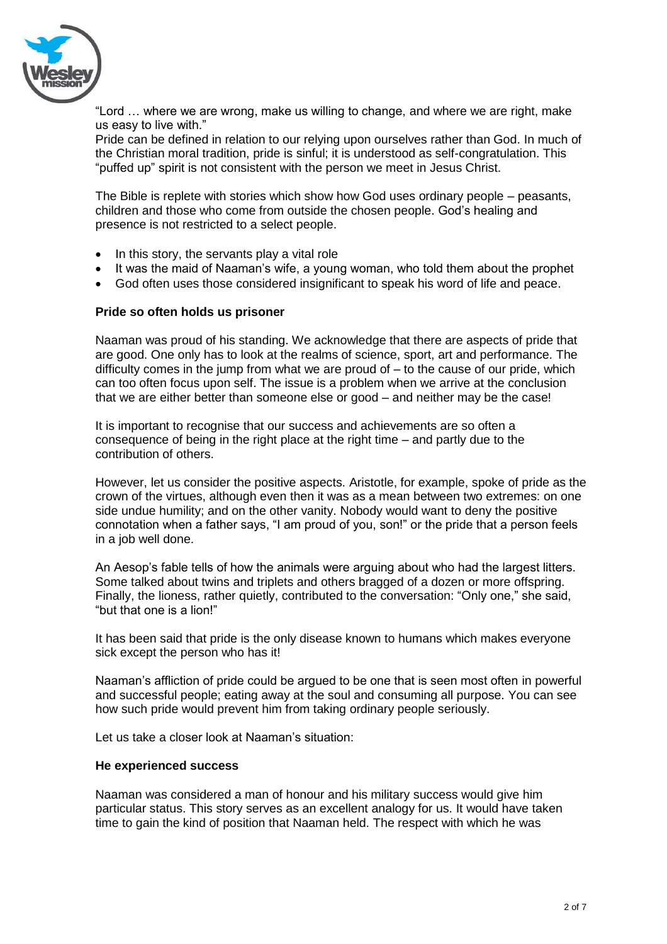

"Lord … where we are wrong, make us willing to change, and where we are right, make us easy to live with."

Pride can be defined in relation to our relying upon ourselves rather than God. In much of the Christian moral tradition, pride is sinful; it is understood as self-congratulation. This "puffed up" spirit is not consistent with the person we meet in Jesus Christ.

The Bible is replete with stories which show how God uses ordinary people – peasants, children and those who come from outside the chosen people. God's healing and presence is not restricted to a select people.

- $\bullet$  In this story, the servants play a vital role
- It was the maid of Naaman's wife, a young woman, who told them about the prophet
- God often uses those considered insignificant to speak his word of life and peace.

## **Pride so often holds us prisoner**

Naaman was proud of his standing. We acknowledge that there are aspects of pride that are good. One only has to look at the realms of science, sport, art and performance. The difficulty comes in the jump from what we are proud of – to the cause of our pride, which can too often focus upon self. The issue is a problem when we arrive at the conclusion that we are either better than someone else or good – and neither may be the case!

It is important to recognise that our success and achievements are so often a consequence of being in the right place at the right time – and partly due to the contribution of others.

However, let us consider the positive aspects. Aristotle, for example, spoke of pride as the crown of the virtues, although even then it was as a mean between two extremes: on one side undue humility; and on the other vanity. Nobody would want to deny the positive connotation when a father says, "I am proud of you, son!" or the pride that a person feels in a job well done.

An Aesop's fable tells of how the animals were arguing about who had the largest litters. Some talked about twins and triplets and others bragged of a dozen or more offspring. Finally, the lioness, rather quietly, contributed to the conversation: "Only one," she said, "but that one is a lion!"

It has been said that pride is the only disease known to humans which makes everyone sick except the person who has it!

Naaman's affliction of pride could be argued to be one that is seen most often in powerful and successful people; eating away at the soul and consuming all purpose. You can see how such pride would prevent him from taking ordinary people seriously.

Let us take a closer look at Naaman's situation:

### **He experienced success**

Naaman was considered a man of honour and his military success would give him particular status. This story serves as an excellent analogy for us. It would have taken time to gain the kind of position that Naaman held. The respect with which he was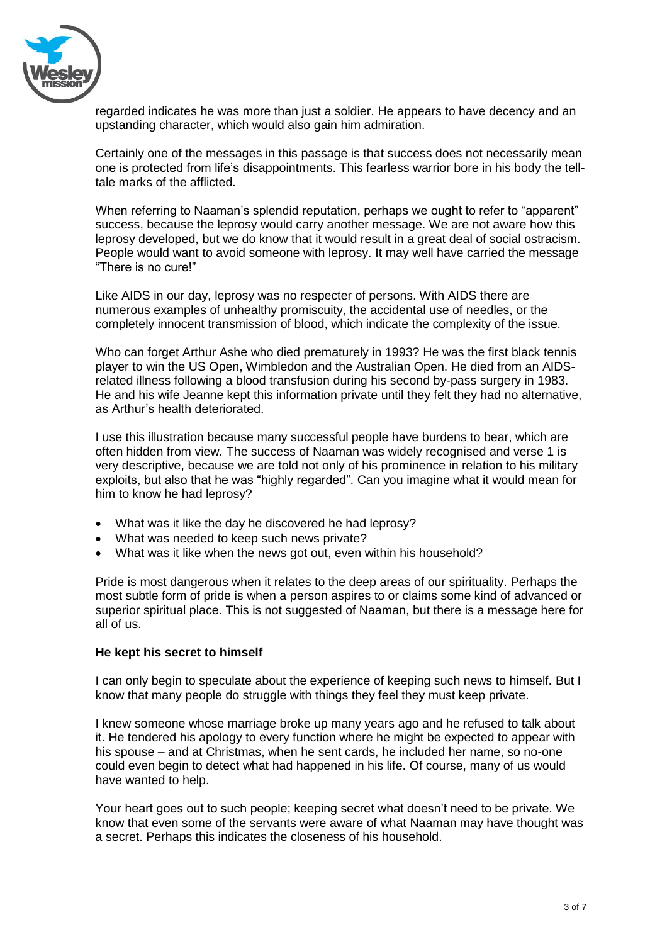

regarded indicates he was more than just a soldier. He appears to have decency and an upstanding character, which would also gain him admiration.

Certainly one of the messages in this passage is that success does not necessarily mean one is protected from life's disappointments. This fearless warrior bore in his body the telltale marks of the afflicted.

When referring to Naaman's splendid reputation, perhaps we ought to refer to "apparent" success, because the leprosy would carry another message. We are not aware how this leprosy developed, but we do know that it would result in a great deal of social ostracism. People would want to avoid someone with leprosy. It may well have carried the message "There is no cure!"

Like AIDS in our day, leprosy was no respecter of persons. With AIDS there are numerous examples of unhealthy promiscuity, the accidental use of needles, or the completely innocent transmission of blood, which indicate the complexity of the issue.

Who can forget Arthur Ashe who died prematurely in 1993? He was the first black tennis player to win the US Open, Wimbledon and the Australian Open. He died from an AIDSrelated illness following a blood transfusion during his second by-pass surgery in 1983. He and his wife Jeanne kept this information private until they felt they had no alternative, as Arthur's health deteriorated.

I use this illustration because many successful people have burdens to bear, which are often hidden from view. The success of Naaman was widely recognised and verse 1 is very descriptive, because we are told not only of his prominence in relation to his military exploits, but also that he was "highly regarded". Can you imagine what it would mean for him to know he had leprosy?

- What was it like the day he discovered he had leprosy?
- What was needed to keep such news private?
- What was it like when the news got out, even within his household?

Pride is most dangerous when it relates to the deep areas of our spirituality. Perhaps the most subtle form of pride is when a person aspires to or claims some kind of advanced or superior spiritual place. This is not suggested of Naaman, but there is a message here for all of us.

### **He kept his secret to himself**

I can only begin to speculate about the experience of keeping such news to himself. But I know that many people do struggle with things they feel they must keep private.

I knew someone whose marriage broke up many years ago and he refused to talk about it. He tendered his apology to every function where he might be expected to appear with his spouse – and at Christmas, when he sent cards, he included her name, so no-one could even begin to detect what had happened in his life. Of course, many of us would have wanted to help.

Your heart goes out to such people; keeping secret what doesn't need to be private. We know that even some of the servants were aware of what Naaman may have thought was a secret. Perhaps this indicates the closeness of his household.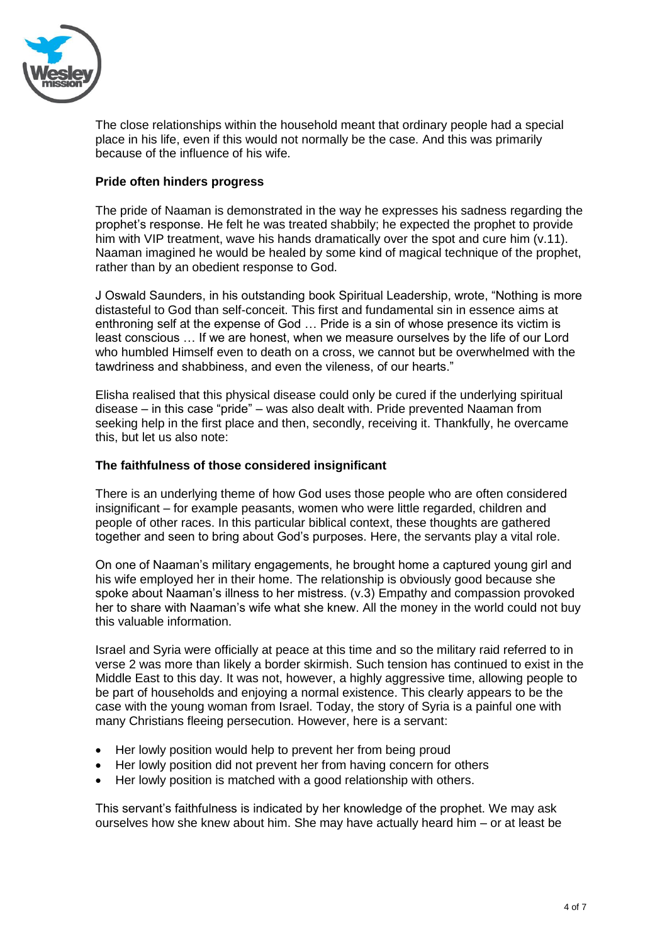

The close relationships within the household meant that ordinary people had a special place in his life, even if this would not normally be the case. And this was primarily because of the influence of his wife.

# **Pride often hinders progress**

The pride of Naaman is demonstrated in the way he expresses his sadness regarding the prophet's response. He felt he was treated shabbily; he expected the prophet to provide him with VIP treatment, wave his hands dramatically over the spot and cure him (v.11). Naaman imagined he would be healed by some kind of magical technique of the prophet, rather than by an obedient response to God.

J Oswald Saunders, in his outstanding book Spiritual Leadership, wrote, "Nothing is more distasteful to God than self-conceit. This first and fundamental sin in essence aims at enthroning self at the expense of God … Pride is a sin of whose presence its victim is least conscious … If we are honest, when we measure ourselves by the life of our Lord who humbled Himself even to death on a cross, we cannot but be overwhelmed with the tawdriness and shabbiness, and even the vileness, of our hearts."

Elisha realised that this physical disease could only be cured if the underlying spiritual disease – in this case "pride" – was also dealt with. Pride prevented Naaman from seeking help in the first place and then, secondly, receiving it. Thankfully, he overcame this, but let us also note:

# **The faithfulness of those considered insignificant**

There is an underlying theme of how God uses those people who are often considered insignificant – for example peasants, women who were little regarded, children and people of other races. In this particular biblical context, these thoughts are gathered together and seen to bring about God's purposes. Here, the servants play a vital role.

On one of Naaman's military engagements, he brought home a captured young girl and his wife employed her in their home. The relationship is obviously good because she spoke about Naaman's illness to her mistress. (v.3) Empathy and compassion provoked her to share with Naaman's wife what she knew. All the money in the world could not buy this valuable information.

Israel and Syria were officially at peace at this time and so the military raid referred to in verse 2 was more than likely a border skirmish. Such tension has continued to exist in the Middle East to this day. It was not, however, a highly aggressive time, allowing people to be part of households and enjoying a normal existence. This clearly appears to be the case with the young woman from Israel. Today, the story of Syria is a painful one with many Christians fleeing persecution. However, here is a servant:

- Her lowly position would help to prevent her from being proud
- Her lowly position did not prevent her from having concern for others
- Her lowly position is matched with a good relationship with others.

This servant's faithfulness is indicated by her knowledge of the prophet. We may ask ourselves how she knew about him. She may have actually heard him – or at least be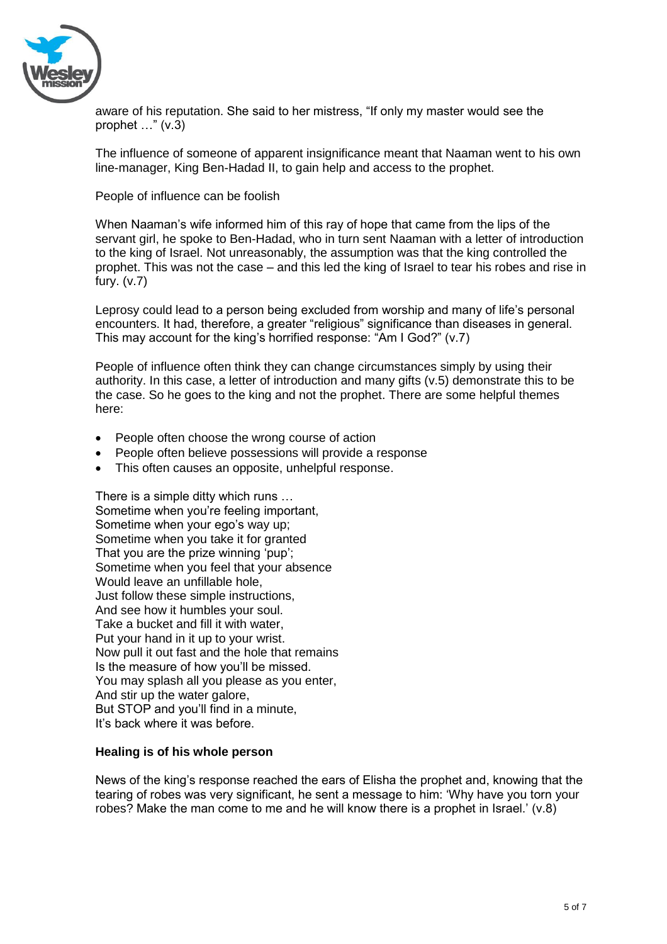

aware of his reputation. She said to her mistress, "If only my master would see the prophet …" (v.3)

The influence of someone of apparent insignificance meant that Naaman went to his own line-manager, King Ben-Hadad II, to gain help and access to the prophet.

People of influence can be foolish

When Naaman's wife informed him of this ray of hope that came from the lips of the servant girl, he spoke to Ben-Hadad, who in turn sent Naaman with a letter of introduction to the king of Israel. Not unreasonably, the assumption was that the king controlled the prophet. This was not the case – and this led the king of Israel to tear his robes and rise in fury. (v.7)

Leprosy could lead to a person being excluded from worship and many of life's personal encounters. It had, therefore, a greater "religious" significance than diseases in general. This may account for the king's horrified response: "Am I God?" (v.7)

People of influence often think they can change circumstances simply by using their authority. In this case, a letter of introduction and many gifts (v.5) demonstrate this to be the case. So he goes to the king and not the prophet. There are some helpful themes here:

- People often choose the wrong course of action
- People often believe possessions will provide a response
- This often causes an opposite, unhelpful response.

There is a simple ditty which runs … Sometime when you're feeling important, Sometime when your ego's way up; Sometime when you take it for granted That you are the prize winning 'pup'; Sometime when you feel that your absence Would leave an unfillable hole, Just follow these simple instructions, And see how it humbles your soul. Take a bucket and fill it with water, Put your hand in it up to your wrist. Now pull it out fast and the hole that remains Is the measure of how you'll be missed. You may splash all you please as you enter, And stir up the water galore, But STOP and you'll find in a minute, It's back where it was before.

# **Healing is of his whole person**

News of the king's response reached the ears of Elisha the prophet and, knowing that the tearing of robes was very significant, he sent a message to him: 'Why have you torn your robes? Make the man come to me and he will know there is a prophet in Israel.' (v.8)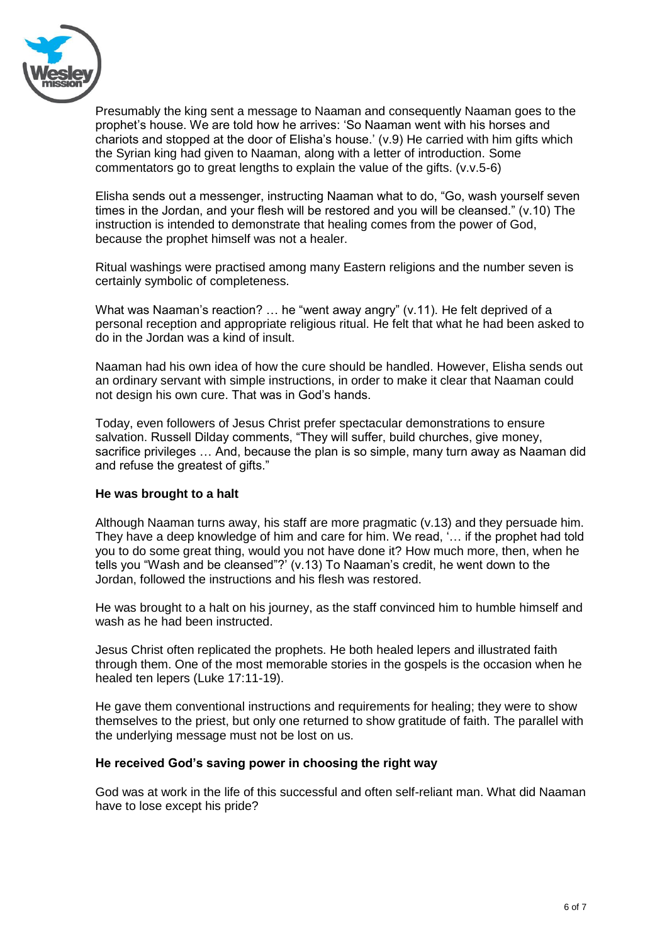

Presumably the king sent a message to Naaman and consequently Naaman goes to the prophet's house. We are told how he arrives: 'So Naaman went with his horses and chariots and stopped at the door of Elisha's house.' (v.9) He carried with him gifts which the Syrian king had given to Naaman, along with a letter of introduction. Some commentators go to great lengths to explain the value of the gifts. (v.v.5-6)

Elisha sends out a messenger, instructing Naaman what to do, "Go, wash yourself seven times in the Jordan, and your flesh will be restored and you will be cleansed." (v.10) The instruction is intended to demonstrate that healing comes from the power of God, because the prophet himself was not a healer.

Ritual washings were practised among many Eastern religions and the number seven is certainly symbolic of completeness.

What was Naaman's reaction? ... he "went away angry" (v.11). He felt deprived of a personal reception and appropriate religious ritual. He felt that what he had been asked to do in the Jordan was a kind of insult.

Naaman had his own idea of how the cure should be handled. However, Elisha sends out an ordinary servant with simple instructions, in order to make it clear that Naaman could not design his own cure. That was in God's hands.

Today, even followers of Jesus Christ prefer spectacular demonstrations to ensure salvation. Russell Dilday comments, "They will suffer, build churches, give money, sacrifice privileges … And, because the plan is so simple, many turn away as Naaman did and refuse the greatest of gifts."

# **He was brought to a halt**

Although Naaman turns away, his staff are more pragmatic (v.13) and they persuade him. They have a deep knowledge of him and care for him. We read, '… if the prophet had told you to do some great thing, would you not have done it? How much more, then, when he tells you "Wash and be cleansed"?' (v.13) To Naaman's credit, he went down to the Jordan, followed the instructions and his flesh was restored.

He was brought to a halt on his journey, as the staff convinced him to humble himself and wash as he had been instructed.

Jesus Christ often replicated the prophets. He both healed lepers and illustrated faith through them. One of the most memorable stories in the gospels is the occasion when he healed ten lepers (Luke 17:11-19).

He gave them conventional instructions and requirements for healing; they were to show themselves to the priest, but only one returned to show gratitude of faith. The parallel with the underlying message must not be lost on us.

# **He received God's saving power in choosing the right way**

God was at work in the life of this successful and often self-reliant man. What did Naaman have to lose except his pride?